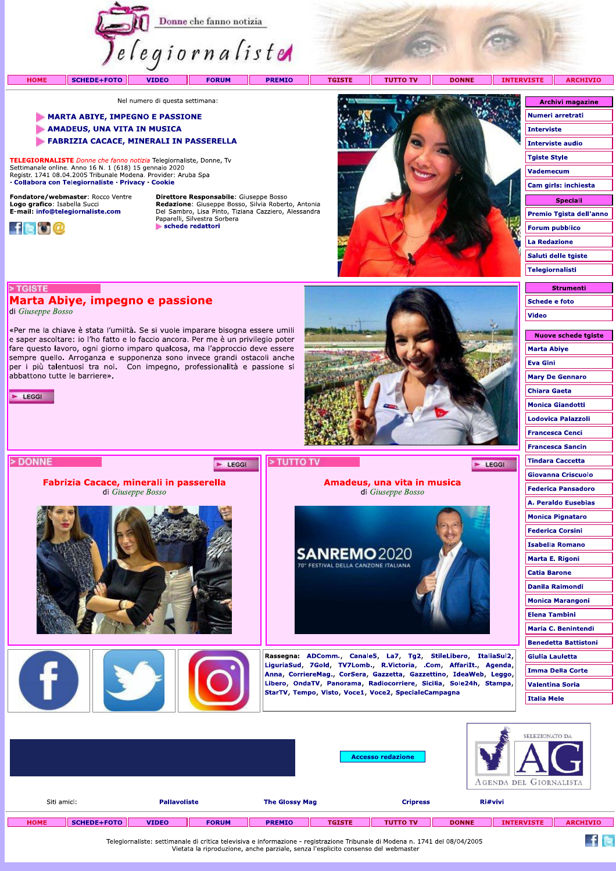

**PREMIO** 

**TGISTE TUTTO TV**  **DONNE** 

**INTERVISTE ARCHIVIO** 

Nel numero di questa settimana:

- **MARTA ABIYE, IMPEGNO E PASSIONE**
- AMADEUS, UNA VITA IN MUSICA
- FABRIZIA CACACE, MINERALI IN PASSERELLA

TELEGIORNALISTE Donne che fanno notizia Telegiornaliste, Donne, Tv Settimanale online. Anno 16 N. 1 (618) 15 gennaio 2020<br>Registr. 1741 08.04.2005 Tribunale Modena. Provider: Aruba Spa · Collabora con Telegiornaliste · Privacy · Cookie

Marta Abiye, impegno e passione

«Per me la chiave è stata l'umiltà. Se si vuole imparare bisogna essere umili e saper ascoltare: io l'ho fatto e lo faccio ancora. Per me è un privilegio poter fare questo lavoro, ogni giorno imparo qualcosa, ma l'approccio deve essere sempre quello. Arroganza e supponenza sono invece grandi ostacoli anche per i più talentuosi tra noi. Con impegno, professionalità e passione si

> Fabrizia Cacace, minerali in passerella di Giuseppe Bosso

Fondatore/webmaster: Rocco Ventre Logo grafico: Isabella Succi<br>E-mail: info@telegiornaliste.com



> TGISTE

E LEGGI

> DONNE

di Giuseppe Bosso

abbattono tutte le barriere».

**HOME** 

Direttore Responsabile: Giuseppe Bosso **Redazione:** Giuseppe Bosso, Silvia Roberto, Antonia<br>Del Sambro, Lisa Pinto, Tiziana Cazziero, Alessandra<br>Paparelli, Silvestra Sorbera schede redattori

E LEGGI



Amadeus, una vita in musica

di Giuseppe Bosso

Rassegna: ADComm., Canale5, La7, Tg2, StileLibero, ItaliaSul2, LiguriaSud, 7Gold, TV7Lomb., R.Victoria, .Com, AffariIt., Agenda, Anna, CorriereMag., CorSera, Gazzetta, Gazzettino, IdeaWeb, Leggo, Libero, OndaTV, Panorama, Radiocorriere, Sicilia, Sole24h, Stampa,

StarTV, Tempo, Visto, Voce1, Voce2, SpecialeCampagna

**SANREMO2020** VAL DELLA CANZONE ITALIANA

| <b>Archivi magazine</b> |
|-------------------------|
| Numeri arretrati        |
| Interviste              |
| <b>Interviste audio</b> |
| <b>Tgiste Style</b>     |
| <b>Vademecum</b>        |
| Cam girls: inchiesta    |
| <b>Speciali</b>         |
| Premio Tgista dell'anno |
| <b>Forum pubblico</b>   |
| <b>La Redazione</b>     |
| Saluti delle tgiste     |
|                         |
| Telegiornalisti         |

**Strumenti** Schede e foto Video

| Nuove schede tgiste       |
|---------------------------|
| Marta Abiye               |
| Eva Gini                  |
| <b>Mary De Gennaro</b>    |
| <b>Chiara Gaeta</b>       |
| <b>Monica Giandotti</b>   |
| Lodovica Palazzoli        |
| Francesca Cenci           |
| <b>Francesca Sancin</b>   |
| <b>Tindara Caccetta</b>   |
| <b>Giovanna Criscuolo</b> |
| <b>Federica Pansadoro</b> |
| A. Peraldo Eusebias       |
| <b>Monica Pignataro</b>   |
| <b>Federica Corsini</b>   |
| Isabella Romano           |
| Marta E. Rigoni           |
| <b>Catia Barone</b>       |
| Danila Raimondi           |
| <b>Monica Marangoni</b>   |
| Elena Tambini             |
| Maria C. Benintendi       |
| Benedetta Battistoni      |
| Giulia Lauletta           |
| Imma Della Corte          |
| <b>Valentina Soria</b>    |
| Italia Mele               |
|                           |

 $f$  is

E LEGGI

|             |                    |                     |              |                       |               | <b>Accesso redazione</b> |              | SELEZIONATO DA<br>AGENDA DEL GIORNALISTA |                 |
|-------------|--------------------|---------------------|--------------|-----------------------|---------------|--------------------------|--------------|------------------------------------------|-----------------|
| Siti amici: |                    | <b>Pallavoliste</b> |              | <b>The Glossy Mag</b> |               | <b>Cripress</b>          |              | Ri#vivi                                  |                 |
| <b>HOME</b> | <b>SCHEDE+FOTO</b> | <b>VIDEO</b>        | <b>FORUM</b> | <b>PREMIO</b>         | <b>TGISTE</b> | <b>TUTTO TV</b>          | <b>DONNE</b> | <b>INTERVISTE</b>                        | <b>ARCHIVIO</b> |

> TUTTO TV

Telegiornaliste: settimanale di critica televisiva e informazione - registrazione Tribunale di Modena n. 1741 del 08/04/2005<br>Vietata la riproduzione, anche parziale, senza l'esplicito consenso del webmaster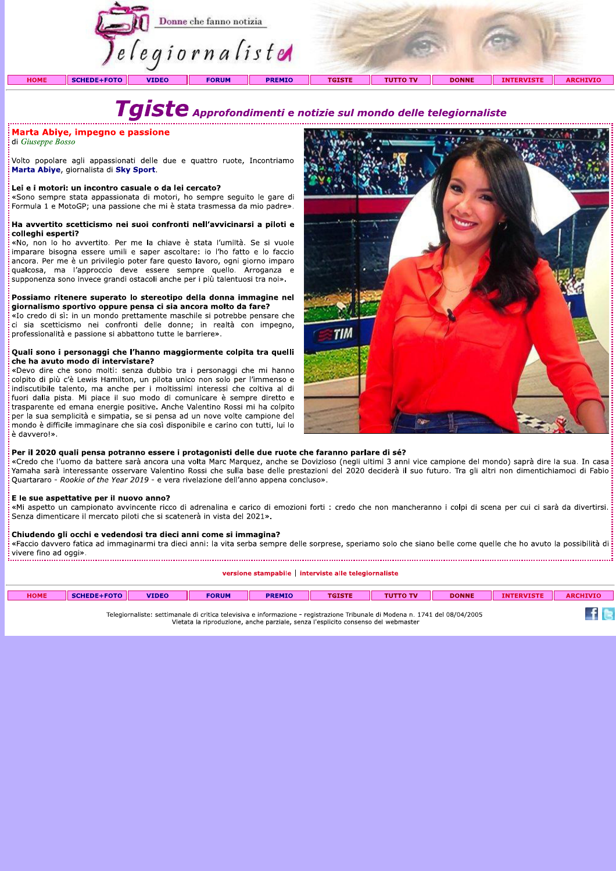

 $\textcolor{red}{\textbf{Tagiste}}$  Approfondimenti e notizie sul mondo delle telegiornaliste

# Marta Abiye, impegno e passione

di Giuseppe Bosso

Volto popolare agli appassionati delle due e quattro ruote, Incontriamo Marta Abiye, giornalista di Sky Sport.

#### Lei e i motori: un incontro casuale o da lei cercato?

«Sono sempre stata appassionata di motori, ho sempre seguito le gare di Formula 1 e MotoGP; una passione che mi è stata trasmessa da mio padre».

#### Ha avvertito scetticismo nei suoi confronti nell'avvicinarsi a piloti e colleghi esperti?

«No, non lo ho avvertito. Per me la chiave è stata l'umiltà. Se si vuole imparare bisogna essere umili e saper ascoltare: io l'ho fatto e lo faccio ancora. Per me è un privilegio poter fare questo lavoro, ogni giorno imparo qualcosa, ma l'approccio deve essere sempre quello. Arroganza e supponenza sono invece grandi ostacoli anche per i più talentuosi tra noi».

#### Possiamo ritenere superato lo stereotipo della donna immagine nel giornalismo sportivo oppure pensa ci sia ancora molto da fare?

«Io credo di sì: in un mondo prettamente maschile si potrebbe pensare che ci sia scetticismo nei confronti delle donne; in realtà con impegno, professionalità e passione si abbattono tutte le barriere».

#### Quali sono i personaggi che l'hanno maggiormente colpita tra quelli che ha avuto modo di intervistare?

«Devo dire che sono molti: senza dubbio tra i personaggi che mi hanno colpito di più c'è Lewis Hamilton, un pilota unico non solo per l'immenso e indiscutibile talento, ma anche per i moltissimi interessi che coltiva al di fuori dalla pista. Mi piace il suo modo di comunicare è sempre diretto e trasparente ed emana energie positive. Anche Valentino Rossi mi ha colpito per la sua semplicità e simpatia. se si pensa ad un nove volte campione del mondo è difficile immaginare che sia così disponibile e carino con tutti, lui lo è davvero!».



#### Per il 2020 quali pensa potranno essere i protagonisti delle due ruote che faranno parlare di sé?

«Credo che l'uomo da battere sarà ancora una volta Marc Marquez, anche se Dovizioso (negli ultimi 3 anni vice campione del mondo) saprà dire la sua. In casa Yamaha sarà interessante osservare Valentino Rossi che sulla base delle prestazioni del 2020 deciderà il suo futuro. Tra gli altri non dimentichiamoci di Fabio Quartararo - Rookie of the Year 2019 - e vera rivelazione dell'anno appena concluso».

#### E le sue aspettative per il nuovo anno?

«Mi aspetto un campionato avvincente ricco di adrenalina e carico di emozioni forti : credo che non mancheranno i colpi di scena per cui ci sarà da divertirsi. Senza dimenticare il mercato piloti che si scatenerà in vista del 2021».

#### Chiudendo gli occhi e vedendosi tra dieci anni come si immagina?

«Faccio davvero fatica ad immaginarmi tra dieci anni: la vita serba sempre delle sorprese, speriamo solo che siano belle come quelle che ho avuto la possibilità di vivere fino ad oggi». 

versione stampabile | interviste alle telegiornaliste

| <b>HOME</b>                                                                                                                                                                                                       | <b>SCHEDE+FOTO</b> | <b>VIDEO</b> | <b>FORUM</b> | <b>PREMIO</b> | <b>TGISTE</b> | <b>TUTTO TV</b> | <b>DONNE</b> | <b>INTERVISTE</b> | <b>ARCHIVIO</b> |
|-------------------------------------------------------------------------------------------------------------------------------------------------------------------------------------------------------------------|--------------------|--------------|--------------|---------------|---------------|-----------------|--------------|-------------------|-----------------|
|                                                                                                                                                                                                                   |                    |              |              |               |               |                 |              |                   |                 |
| Telegiornaliste: settimanale di critica televisiva e informazione - registrazione Tribunale di Modena n. 1741 del 08/04/2005<br>Vietata la rinroduzione, anche parziale, cenza l'ecnlicito concenco del webmacter |                    |              |              |               |               |                 |              |                   |                 |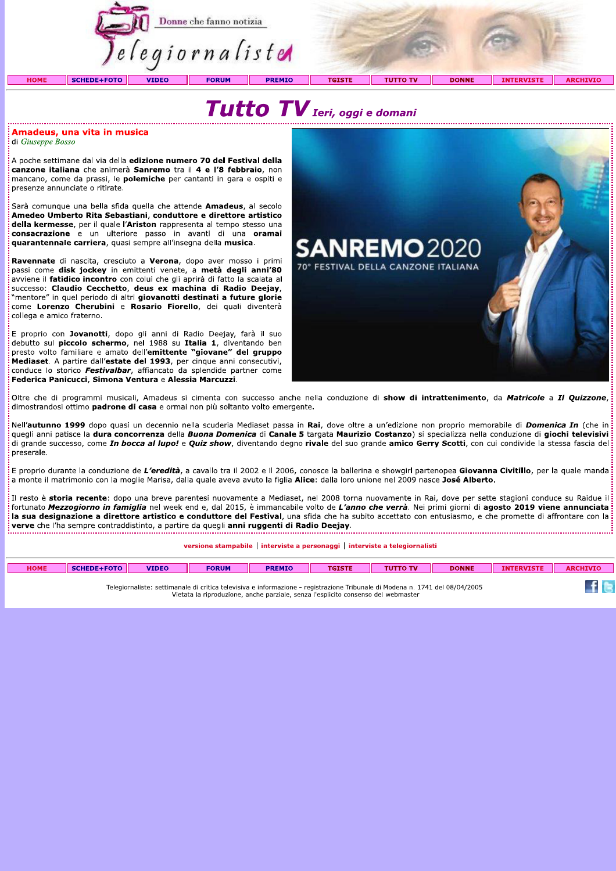

# Tutto TV Ieri, oggi e domani

#### Amadeus, una vita in musica di Giuseppe Bosso

A poche settimane dal via della edizione numero 70 del Festival della canzone italiana che animerà Sanremo tra il 4 e l'8 febbraio, non mancano, come da prassi, le **polemiche** per cantanti in gara e ospiti e presenze annunciate o ritirate.

Sarà comunque una bella sfida quella che attende Amadeus, al secolo Amedeo Umberto Rita Sebastiani, conduttore e direttore artistico della kermesse, per il quale l'Ariston rappresenta al tempo stesso una consacrazione e un ulteriore passo in avanti di una oramai quarantennale carriera, quasi sempre all'insegna della musica.

Ravennate di nascita, cresciuto a Verona, dopo aver mosso i primi passi come disk jockey in emittenti venete, a metà degli anni'80 avviene il fatidico incontro con colui che gli aprirà di fatto la scalata al successo: Claudio Cecchetto, deus ex machina di Radio Deejay, 'mentore" in quel periodo di altri giovanotti destinati a future glorie come Lorenzo Cherubini e Rosario Fiorello, dei quali diventerà collega e amico fraterno.

E proprio con Jovanotti, dopo gli anni di Radio Deejay, farà il suo debutto sul piccolo schermo, nel 1988 su Italia 1, diventando ben presto volto familiare e amato dell'emittente "giovane" del gruppo Mediaset. A partire dall'estate del 1993, per cinque anni consecutivi, conduce lo storico *Festivalbar*, affiancato da splendide partner come Federica Panicucci, Simona Ventura e Alessia Marcuzzi.



Oltre che di programmi musicali, Amadeus si cimenta con successo anche nella conduzione di show di intrattenimento, da Matricole a Il Quizzone, dimostrandosi ottimo padrone di casa e ormai non più soltanto volto emergente.

Nell'autunno 1999 dopo quasi un decennio nella scuderia Mediaset passa in Rai, dove oltre a un'edizione non proprio memorabile di *Domenica In* (che in quegli anni patisce la dura concorrenza della Buona Domenica di Canale 5 targata Maurizio Costanzo) si specializza nella conduzione di giochi televisivi di grande successo, come *In bocca al lupo!* e Quiz show, diventando degno rivale del suo grande amico Gerry Scotti, con cui condivide la stessa fascia del preserale.

.<br>E proprio durante la conduzione de L'eredità, a cavallo tra il 2002 e il 2006, conosce la ballerina e showgirl partenopea Giovanna Civitillo, per la quale manda a monte il matrimonio con la moglie Marisa, dalla quale aveva avuto la figlia Alice: dalla loro unione nel 2009 nasce José Alberto.

: Il resto è storia recente: dopo una breve parentesi nuovamente a Mediaset, nel 2008 torna nuovamente in Rai, dove per sette stagioni conduce su Raidue il fortunato Mezzogiorno in famiglia nel week end e, dal 2015, è immancabile volto de L'anno che verrà. Nei primi giorni di agosto 2019 viene annunciata la sua designazione a direttore artistico e conduttore del Festival, una sfida che ha subito accettato con entusiasmo, e che promette di affrontare con la verve che l'ha sempre contraddistinto, a partire da quegli anni ruggenti di Radio Deejay.

#### versione stampabile | interviste a personaggi | interviste a telegiornalisti

| HOME | <b>SCHEDE+FOTO</b> | <b>VIDEO</b> | <b>FORUM</b> | <b>PREMIO</b> | <b>TGISTE</b> | <b>TUTTO TV</b> | <b>DONNF</b> | <b>INTERVISTE</b> | <b>ARCHIVIC</b> |
|------|--------------------|--------------|--------------|---------------|---------------|-----------------|--------------|-------------------|-----------------|
|      | --                 | $\cdots$     | .            |               | --<br>$\sim$  | .               |              |                   |                 |

Telegiornaliste: settimanale di critica televisiva e informazione - registrazione Tribunale di Modena n. 1741 del 08/04/2005 Vietata la riproduzione, anche parziale, senza l'esplicito consenso del webmaster